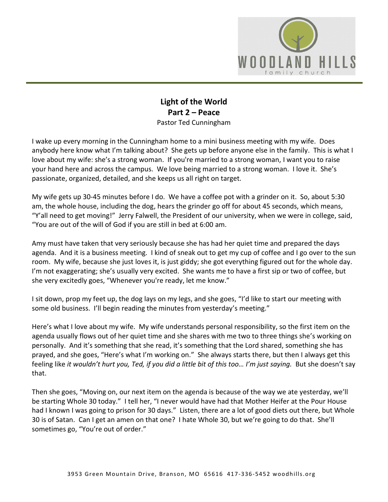

## **Light of the World Part 2 – Peace** Pastor Ted Cunningham

I wake up every morning in the Cunningham home to a mini business meeting with my wife. Does anybody here know what I'm talking about? She gets up before anyone else in the family. This is what I love about my wife: she's a strong woman. If you're married to a strong woman, I want you to raise your hand here and across the campus. We love being married to a strong woman. I love it. She's passionate, organized, detailed, and she keeps us all right on target.

My wife gets up 30-45 minutes before I do. We have a coffee pot with a grinder on it. So, about 5:30 am, the whole house, including the dog, hears the grinder go off for about 45 seconds, which means, "Y'all need to get moving!" Jerry Falwell, the President of our university, when we were in college, said, "You are out of the will of God if you are still in bed at 6:00 am.

Amy must have taken that very seriously because she has had her quiet time and prepared the days agenda. And it is a business meeting. I kind of sneak out to get my cup of coffee and I go over to the sun room. My wife, because she just loves it, is just giddy; she got everything figured out for the whole day. I'm not exaggerating; she's usually very excited. She wants me to have a first sip or two of coffee, but she very excitedly goes, "Whenever you're ready, let me know."

I sit down, prop my feet up, the dog lays on my legs, and she goes, "I'd like to start our meeting with some old business. I'll begin reading the minutes from yesterday's meeting."

Here's what I love about my wife. My wife understands personal responsibility, so the first item on the agenda usually flows out of her quiet time and she shares with me two to three things she's working on personally. And it's something that she read, it's something that the Lord shared, something she has prayed, and she goes, "Here's what I'm working on." She always starts there, but then I always get this feeling like *it wouldn't hurt you, Ted, if you did a little bit of this too… I'm just saying.* But she doesn't say that.

Then she goes, "Moving on, our next item on the agenda is because of the way we ate yesterday, we'll be starting Whole 30 today." I tell her, "I never would have had that Mother Heifer at the Pour House had I known I was going to prison for 30 days." Listen, there are a lot of good diets out there, but Whole 30 is of Satan. Can I get an amen on that one? I hate Whole 30, but we're going to do that. She'll sometimes go, "You're out of order."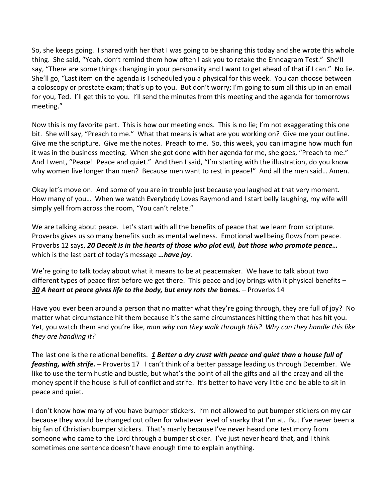So, she keeps going. I shared with her that I was going to be sharing this today and she wrote this whole thing. She said, "Yeah, don't remind them how often I ask you to retake the Enneagram Test." She'll say, "There are some things changing in your personality and I want to get ahead of that if I can." No lie. She'll go, "Last item on the agenda is I scheduled you a physical for this week. You can choose between a coloscopy or prostate exam; that's up to you. But don't worry; I'm going to sum all this up in an email for you, Ted. I'll get this to you. I'll send the minutes from this meeting and the agenda for tomorrows meeting."

Now this is my favorite part. This is how our meeting ends. This is no lie; I'm not exaggerating this one bit. She will say, "Preach to me." What that means is what are you working on? Give me your outline. Give me the scripture. Give me the notes. Preach to me. So, this week, you can imagine how much fun it was in the business meeting. When she got done with her agenda for me, she goes, "Preach to me." And I went, "Peace! Peace and quiet." And then I said, "I'm starting with the illustration, do you know why women live longer than men? Because men want to rest in peace!" And all the men said… Amen.

Okay let's move on. And some of you are in trouble just because you laughed at that very moment. How many of you… When we watch Everybody Loves Raymond and I start belly laughing, my wife will simply yell from across the room, "You can't relate."

We are talking about peace. Let's start with all the benefits of peace that we learn from scripture. Proverbs gives us so many benefits such as mental wellness. Emotional wellbeing flows from peace. Proverbs 12 says, *[20](https://www.studylight.org/desk/?q=pr%2012:20&t1=en_niv&sr=1) Deceit is in the hearts of those who plot evil, but those who promote peace…* which is the last part of today's message *…have joy*.

We're going to talk today about what it means to be at peacemaker. We have to talk about two different types of peace first before we get there. This peace and joy brings with it physical benefits – *[30](https://www.studylight.org/desk/?q=pr%2014:30&t1=en_niv&sr=1) A heart at peace gives life to the body, but envy rots the bones.* – Proverbs 14

Have you ever been around a person that no matter what they're going through, they are full of joy? No matter what circumstance hit them because it's the same circumstances hitting them that has hit you. Yet, you watch them and you're like, *man why can they walk through this? Why can they handle this like they are handling it?*

The last one is the relational benefits. *[1](https://www.studylight.org/desk/?q=pr%2017:1&t1=en_niv&sr=1) Better a dry crust with peace and quiet than a house full of feasting, with strife.* – Proverbs 17 I can't think of a better passage leading us through December. We like to use the term hustle and bustle, but what's the point of all the gifts and all the crazy and all the money spent if the house is full of conflict and strife. It's better to have very little and be able to sit in peace and quiet.

I don't know how many of you have bumper stickers. I'm not allowed to put bumper stickers on my car because they would be changed out often for whatever level of snarky that I'm at. But I've never been a big fan of Christian bumper stickers. That's manly because I've never heard one testimony from someone who came to the Lord through a bumper sticker. I've just never heard that, and I think sometimes one sentence doesn't have enough time to explain anything.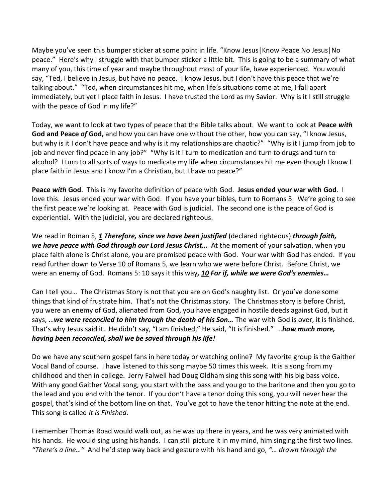Maybe you've seen this bumper sticker at some point in life. "Know Jesus|Know Peace No Jesus|No peace." Here's why I struggle with that bumper sticker a little bit. This is going to be a summary of what many of you, this time of year and maybe throughout most of your life, have experienced. You would say, "Ted, I believe in Jesus, but have no peace. I know Jesus, but I don't have this peace that we're talking about." "Ted, when circumstances hit me, when life's situations come at me, I fall apart immediately, but yet I place faith in Jesus. I have trusted the Lord as my Savior. Why is it I still struggle with the peace of God in my life?"

Today, we want to look at two types of peace that the Bible talks about. We want to look at **Peace** *with* **God and Peace** *of* **God,** and how you can have one without the other, how you can say, "I know Jesus, but why is it I don't have peace and why is it my relationships are chaotic?" "Why is it I jump from job to job and never find peace in any job?" "Why is it I turn to medication and turn to drugs and turn to alcohol? I turn to all sorts of ways to medicate my life when circumstances hit me even though I know I place faith in Jesus and I know I'm a Christian, but I have no peace?"

**Peace** *with* **God**. This is my favorite definition of peace with God. **Jesus ended your war with God**. I love this. Jesus ended your war with God. If you have your bibles, turn to Romans 5. We're going to see the first peace we're looking at. Peace with God is judicial. The second one is the peace of God is experiential. With the judicial, you are declared righteous.

We read in Roman 5, [1](https://www.studylight.org/desk/?q=ro%205:1&t1=en_niv&sr=1) *Therefore, since we have been justified* (declared righteous) *through faith, we have peace with God through our Lord Jesus Christ…* At the moment of your salvation, when you place faith alone is Christ alone, you are promised peace with God. Your war with God has ended. If you read further down to Verse 10 of Romans 5, we learn who we were before Christ. Before Christ, we were an enemy of God. Romans 5: 10 says it this way*, [10](https://www.studylight.org/desk/?q=ro%205:10&t1=en_niv&sr=1) For if, while we were God's enemies…*

Can I tell you… The Christmas Story is not that you are on God's naughty list. Or you've done some things that kind of frustrate him. That's not the Christmas story. The Christmas story is before Christ, you were an enemy of God, alienated from God, you have engaged in hostile deeds against God, but it says, …*we were reconciled to him through the death of his Son…* The war with God is over, it is finished. That's why Jesus said it. He didn't say, "I am finished," He said, "It is finished." …*how much more, having been reconciled, shall we be saved through his life!*

Do we have any southern gospel fans in here today or watching online? My favorite group is the Gaither Vocal Band of course. I have listened to this song maybe 50 times this week. It is a song from my childhood and then in college. Jerry Falwell had Doug Oldham sing this song with his big bass voice. With any good Gaither Vocal song, you start with the bass and you go to the baritone and then you go to the lead and you end with the tenor. If you don't have a tenor doing this song, you will never hear the gospel, that's kind of the bottom line on that. You've got to have the tenor hitting the note at the end. This song is called *It is Finished*.

I remember Thomas Road would walk out, as he was up there in years, and he was very animated with his hands. He would sing using his hands. I can still picture it in my mind, him singing the first two lines. *"There's a line…"* And he'd step way back and gesture with his hand and go, *"… drawn through the*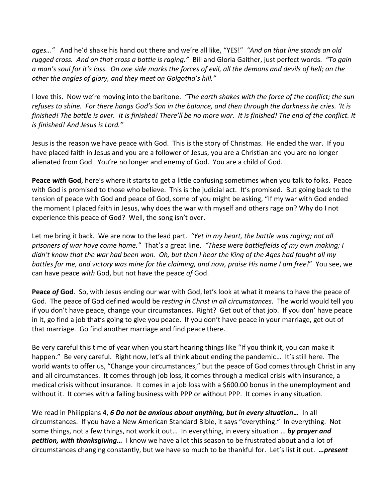*ages…"* And he'd shake his hand out there and we're all like, "YES!" *"And on that line stands an old rugged cross. And on that cross a battle is raging."* Bill and Gloria Gaither, just perfect words. *"To gain a man's soul for it's loss. On one side marks the forces of evil, all the demons and devils of hell; on the other the angles of glory, and they meet on Golgotha's hill."* 

I love this. Now we're moving into the baritone. *"The earth shakes with the force of the conflict; the sun refuses to shine. For there hangs God's Son in the balance, and then through the darkness he cries. 'It is finished! The battle is over. It is finished! There'll be no more war. It is finished! The end of the conflict. It is finished! And Jesus is Lord."* 

Jesus is the reason we have peace with God. This is the story of Christmas. He ended the war. If you have placed faith in Jesus and you are a follower of Jesus, you are a Christian and you are no longer alienated from God. You're no longer and enemy of God. You are a child of God.

**Peace** *with* **God**, here's where it starts to get a little confusing sometimes when you talk to folks. Peace with God is promised to those who believe. This is the judicial act. It's promised. But going back to the tension of peace with God and peace of God, some of you might be asking, "If my war with God ended the moment I placed faith in Jesus, why does the war with myself and others rage on? Why do I not experience this peace of God? Well, the song isn't over.

Let me bring it back. We are now to the lead part. *"Yet in my heart, the battle was raging; not all prisoners of war have come home."* That's a great line. *"These were battlefields of my own making; I didn't know that the war had been won. Oh, but then I hear the King of the Ages had fought all my battles for me, and victory was mine for the claiming, and now, praise His name I am free!*" You see, we can have peace *with* God, but not have the peace *of* God.

**Peace** *of* **God**. So, with Jesus ending our war with God, let's look at what it means to have the peace of God. The peace of God defined would be *resting in Christ in all circumstances*. The world would tell you if you don't have peace, change your circumstances. Right? Get out of that job. If you don' have peace in it, go find a job that's going to give you peace. If you don't have peace in your marriage, get out of that marriage. Go find another marriage and find peace there.

Be very careful this time of year when you start hearing things like "If you think it, you can make it happen." Be very careful. Right now, let's all think about ending the pandemic... It's still here. The world wants to offer us, "Change your circumstances," but the peace of God comes through Christ in any and all circumstances. It comes through job loss, it comes through a medical crisis with insurance, a medical crisis without insurance. It comes in a job loss with a \$600.00 bonus in the unemployment and without it. It comes with a failing business with PPP or without PPP. It comes in any situation.

We read in Philippians 4, *[6](https://www.studylight.org/desk/?q=php%204:6&t1=en_niv&sr=1) Do not be anxious about anything, but in every situation…* In all circumstances. If you have a New American Standard Bible, it says "everything." In everything. Not some things, not a few things, not work it out… In everything, in every situation … *by prayer and petition, with thanksgiving…* I know we have a lot this season to be frustrated about and a lot of circumstances changing constantly, but we have so much to be thankful for. Let's list it out. *…present*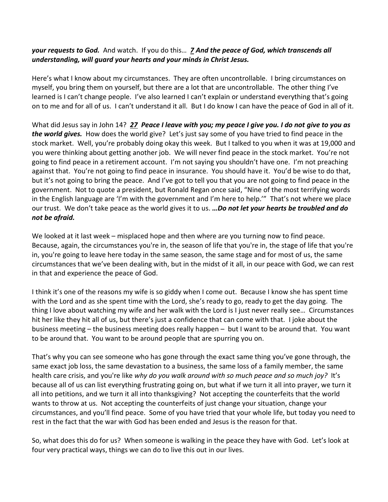## *your requests to God.* And watch. If you do this… *[7](https://www.studylight.org/desk/?q=php%204:7&t1=en_niv&sr=1) And the peace of God, which transcends all understanding, will guard your hearts and your minds in Christ Jesus.*

Here's what I know about my circumstances. They are often uncontrollable. I bring circumstances on myself, you bring them on yourself, but there are a lot that are uncontrollable. The other thing I've learned is I can't change people. I've also learned I can't explain or understand everything that's going on to me and for all of us. I can't understand it all. But I do know I can have the peace of God in all of it.

What did Jesus say in John 14? *[27](https://www.studylight.org/desk/?q=joh%2014:27&t1=en_niv&sr=1) Peace I leave with you; my peace I give you. I do not give to you as the world gives.* How does the world give? Let's just say some of you have tried to find peace in the stock market. Well, you're probably doing okay this week. But I talked to you when it was at 19,000 and you were thinking about getting another job. We will never find peace in the stock market. You're not going to find peace in a retirement account. I'm not saying you shouldn't have one. I'm not preaching against that. You're not going to find peace in insurance. You should have it. You'd be wise to do that, but it's not going to bring the peace. And I've got to tell you that you are not going to find peace in the government. Not to quote a president, but Ronald Regan once said, "Nine of the most terrifying words in the English language are 'I'm with the government and I'm here to help.'" That's not where we place our trust. We don't take peace as the world gives it to us. *…Do not let your hearts be troubled and do not be afraid.*

We looked at it last week – misplaced hope and then where are you turning now to find peace. Because, again, the circumstances you're in, the season of life that you're in, the stage of life that you're in, you're going to leave here today in the same season, the same stage and for most of us, the same circumstances that we've been dealing with, but in the midst of it all, in our peace with God, we can rest in that and experience the peace of God.

I think it's one of the reasons my wife is so giddy when I come out. Because I know she has spent time with the Lord and as she spent time with the Lord, she's ready to go, ready to get the day going. The thing I love about watching my wife and her walk with the Lord is I just never really see… Circumstances hit her like they hit all of us, but there's just a confidence that can come with that. I joke about the business meeting – the business meeting does really happen – but I want to be around that. You want to be around that. You want to be around people that are spurring you on.

That's why you can see someone who has gone through the exact same thing you've gone through, the same exact job loss, the same devastation to a business, the same loss of a family member, the same health care crisis, and you're like *why do you walk around with so much peace and so much joy?* It's because all of us can list everything frustrating going on, but what if we turn it all into prayer, we turn it all into petitions, and we turn it all into thanksgiving? Not accepting the counterfeits that the world wants to throw at us. Not accepting the counterfeits of just change your situation, change your circumstances, and you'll find peace. Some of you have tried that your whole life, but today you need to rest in the fact that the war with God has been ended and Jesus is the reason for that.

So, what does this do for us? When someone is walking in the peace they have with God. Let's look at four very practical ways, things we can do to live this out in our lives.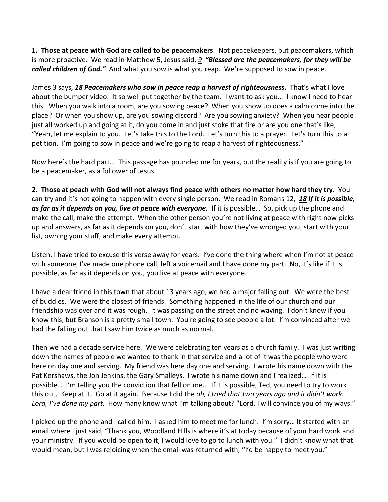**1. Those at peace with God are called to be peacemakers**. Not peacekeepers, but peacemakers, which is more proactive. We read in Matthew 5, Jesus said, *[9](https://www.studylight.org/desk/?q=mt%205:9&t1=en_niv&sr=1) "Blessed are the peacemakers, for they will be called children of God."* And what you sow is what you reap. We're supposed to sow in peace.

James 3 says, *[18](https://www.studylight.org/desk/?q=jas%203:18&t1=en_niv&sr=1) Peacemakers who sow in peace reap a harvest of righteousness.* That's what I love about the bumper video. It so well put together by the team. I want to ask you… I know I need to hear this. When you walk into a room, are you sowing peace? When you show up does a calm come into the place? Or when you show up, are you sowing discord? Are you sowing anxiety? When you hear people just all worked up and going at it, do you come in and just stoke that fire or are you one that's like, "Yeah, let me explain to you. Let's take this to the Lord. Let's turn this to a prayer. Let's turn this to a petition. I'm going to sow in peace and we're going to reap a harvest of righteousness."

Now here's the hard part… This passage has pounded me for years, but the reality is if you are going to be a peacemaker, as a follower of Jesus.

**2. Those at peach with God will not always find peace with others no matter how hard they try.** You can try and it's not going to happen with every single person. We read in Romans 12, *[18](https://www.studylight.org/desk/?q=ro%2012:18&t1=en_niv&sr=1) If it is possible, as far as it depends on you, live at peace with everyone.* If it is possible… So, pick up the phone and make the call, make the attempt. When the other person you're not living at peace with right now picks up and answers, as far as it depends on you, don't start with how they've wronged you, start with your list, owning your stuff, and make every attempt.

Listen, I have tried to excuse this verse away for years. I've done the thing where when I'm not at peace with someone, I've made one phone call, left a voicemail and I have done my part. No, it's like if it is possible, as far as it depends on you, you live at peace with everyone.

I have a dear friend in this town that about 13 years ago, we had a major falling out. We were the best of buddies. We were the closest of friends. Something happened in the life of our church and our friendship was over and it was rough. It was passing on the street and no waving. I don't know if you know this, but Branson is a pretty small town. You're going to see people a lot. I'm convinced after we had the falling out that I saw him twice as much as normal.

Then we had a decade service here. We were celebrating ten years as a church family. I was just writing down the names of people we wanted to thank in that service and a lot of it was the people who were here on day one and serving. My friend was here day one and serving. I wrote his name down with the Pat Kershaws, the Jon Jenkins, the Gary Smalleys. I wrote his name down and I realized… If it is possible… I'm telling you the conviction that fell on me… If it is possible, Ted, you need to try to work this out. Keep at it. Go at it again. Because I did the *oh, I tried that two years ago and it didn't work. Lord, I've done my part.* How many know what I'm talking about? "Lord, I will convince you of my ways."

I picked up the phone and I called him. I asked him to meet me for lunch. I'm sorry… It started with an email where I just said, "Thank you, Woodland Hills is where it's at today because of your hard work and your ministry. If you would be open to it, I would love to go to lunch with you." I didn't know what that would mean, but I was rejoicing when the email was returned with, "I'd be happy to meet you."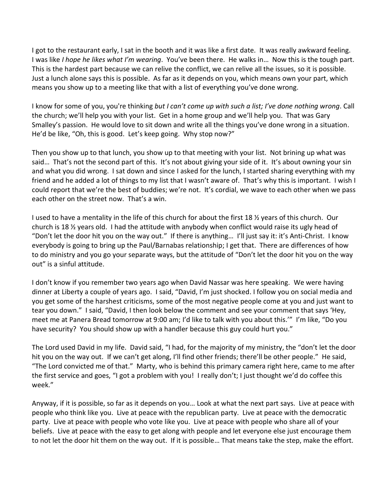I got to the restaurant early, I sat in the booth and it was like a first date. It was really awkward feeling. I was like *I hope he likes what I'm wearing*. You've been there. He walks in… Now this is the tough part. This is the hardest part because we can relive the conflict, we can relive all the issues, so it is possible. Just a lunch alone says this is possible. As far as it depends on you, which means own your part, which means you show up to a meeting like that with a list of everything you've done wrong.

I know for some of you, you're thinking *but I can't come up with such a list; I've done nothing wrong*. Call the church; we'll help you with your list. Get in a home group and we'll help you. That was Gary Smalley's passion. He would love to sit down and write all the things you've done wrong in a situation. He'd be like, "Oh, this is good. Let's keep going. Why stop now?"

Then you show up to that lunch, you show up to that meeting with your list. Not brining up what was said… That's not the second part of this. It's not about giving your side of it. It's about owning your sin and what you did wrong. I sat down and since I asked for the lunch, I started sharing everything with my friend and he added a lot of things to my list that I wasn't aware of. That's why this is important. I wish I could report that we're the best of buddies; we're not. It's cordial, we wave to each other when we pass each other on the street now. That's a win.

I used to have a mentality in the life of this church for about the first 18 ½ years of this church. Our church is 18 ½ years old. I had the attitude with anybody when conflict would raise its ugly head of "Don't let the door hit you on the way out." If there is anything… I'll just say it: it's Anti-Christ. I know everybody is going to bring up the Paul/Barnabas relationship; I get that. There are differences of how to do ministry and you go your separate ways, but the attitude of "Don't let the door hit you on the way out" is a sinful attitude.

I don't know if you remember two years ago when David Nassar was here speaking. We were having dinner at Liberty a couple of years ago. I said, "David, I'm just shocked. I follow you on social media and you get some of the harshest criticisms, some of the most negative people come at you and just want to tear you down." I said, "David, I then look below the comment and see your comment that says 'Hey, meet me at Panera Bread tomorrow at 9:00 am; I'd like to talk with you about this.'" I'm like, "Do you have security? You should show up with a handler because this guy could hurt you."

The Lord used David in my life. David said, "I had, for the majority of my ministry, the "don't let the door hit you on the way out. If we can't get along, I'll find other friends; there'll be other people." He said, "The Lord convicted me of that." Marty, who is behind this primary camera right here, came to me after the first service and goes, "I got a problem with you! I really don't; I just thought we'd do coffee this week."

Anyway, if it is possible, so far as it depends on you… Look at what the next part says. Live at peace with people who think like you. Live at peace with the republican party. Live at peace with the democratic party. Live at peace with people who vote like you. Live at peace with people who share all of your beliefs. Live at peace with the easy to get along with people and let everyone else just encourage them to not let the door hit them on the way out. If it is possible… That means take the step, make the effort.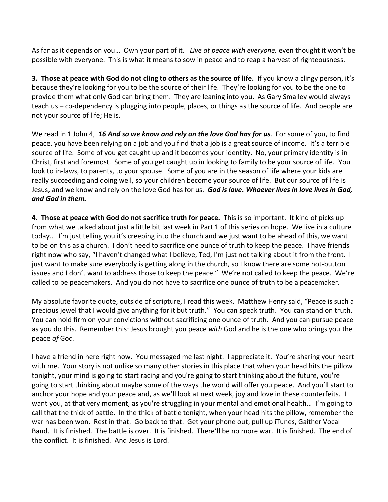As far as it depends on you… Own your part of it. *Live at peace with everyone,* even thought it won't be possible with everyone. This is what it means to sow in peace and to reap a harvest of righteousness.

**3. Those at peace with God do not cling to others as the source of life.** If you know a clingy person, it's because they're looking for you to be the source of their life. They're looking for you to be the one to provide them what only God can bring them. They are leaning into you. As Gary Smalley would always teach us – co-dependency is plugging into people, places, or things as the source of life. And people are not your source of life; He is.

We read in 1 John 4, *[16](https://www.studylight.org/desk/?q=1jo%204:16&t1=en_niv&sr=1) And so we know and rely on the love God has for us*. For some of you, to find peace, you have been relying on a job and you find that a job is a great source of income. It's a terrible source of life. Some of you get caught up and it becomes your identity. No, your primary identity is in Christ, first and foremost. Some of you get caught up in looking to family to be your source of life. You look to in-laws, to parents, to your spouse. Some of you are in the season of life where your kids are really succeeding and doing well, so your children become your source of life. But our source of life is Jesus, and we know and rely on the love God has for us. *God is love. Whoever lives in love lives in God, and God in them.*

**4. Those at peace with God do not sacrifice truth for peace.** This is so important. It kind of picks up from what we talked about just a little bit last week in Part 1 of this series on hope. We live in a culture today… I'm just telling you it's creeping into the church and we just want to be ahead of this, we want to be on this as a church. I don't need to sacrifice one ounce of truth to keep the peace. I have friends right now who say, "I haven't changed what I believe, Ted, I'm just not talking about it from the front. I just want to make sure everybody is getting along in the church, so I know there are some hot-button issues and I don't want to address those to keep the peace." We're not called to keep the peace. We're called to be peacemakers. And you do not have to sacrifice one ounce of truth to be a peacemaker.

My absolute favorite quote, outside of scripture, I read this week. Matthew Henry said, "Peace is such a precious jewel that I would give anything for it but truth." You can speak truth. You can stand on truth. You can hold firm on your convictions without sacrificing one ounce of truth. And you can pursue peace as you do this. Remember this: Jesus brought you peace *with* God and he is the one who brings you the peace *of* God.

I have a friend in here right now. You messaged me last night. I appreciate it. You're sharing your heart with me. Your story is not unlike so many other stories in this place that when your head hits the pillow tonight, your mind is going to start racing and you're going to start thinking about the future, you're going to start thinking about maybe some of the ways the world will offer you peace. And you'll start to anchor your hope and your peace and, as we'll look at next week, joy and love in these counterfeits. I want you, at that very moment, as you're struggling in your mental and emotional health... I'm going to call that the thick of battle. In the thick of battle tonight, when your head hits the pillow, remember the war has been won. Rest in that. Go back to that. Get your phone out, pull up iTunes, Gaither Vocal Band. It is finished. The battle is over. It is finished. There'll be no more war. It is finished. The end of the conflict. It is finished. And Jesus is Lord.